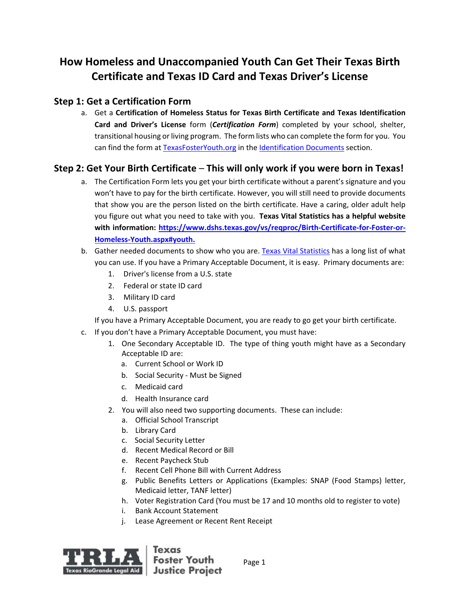# **How Homeless and Unaccompanied Youth Can Get Their Texas Birth Certificate and Texas ID Card and Texas Driver's License**

## **Step 1: Get a Certification Form**

a. Get a **Certification of Homeless Status for Texas Birth Certificate and Texas Identification Card and Driver's License** form (*Certification Form*) completed by your school, shelter, transitional housing or living program. The form lists who can complete the form for you. You can find the form at [TexasFosterYouth.org](http://texasfosteryouth.org/) in the [Identification Documents](http://texasfosteryouth.org/legal-resources/legal-resources-for-youth/legal-documents/) section.

## **Step 2: Get Your Birth Certificate** – **This will only work if you were born in Texas!**

- a. The Certification Form lets you get your birth certificate without a parent's signature and you won't have to pay for the birth certificate. However, you will still need to provide documents that show you are the person listed on the birth certificate. Have a caring, older adult help you figure out what you need to take with you. **Texas Vital Statistics has a helpful website with information: [https://www.dshs.texas.gov/vs/reqproc/Birth-Certificate-for-Foster-or-](https://www.dshs.texas.gov/vs/reqproc/Birth-Certificate-for-Foster-or-Homeless-Youth.aspx#youth)[Homeless-Youth.aspx#youth.](https://www.dshs.texas.gov/vs/reqproc/Birth-Certificate-for-Foster-or-Homeless-Youth.aspx#youth)**
- b. Gather needed documents to show who you are. [Texas Vital Statistics](https://dshs.texas.gov/vs/reqproc/Acceptable-IDs/) has a long list of what you can use. If you have a Primary Acceptable Document, it is easy. Primary documents are:
	- 1. Driver's license from a U.S. state
	- 2. Federal or state ID card
	- 3. Military ID card
	- 4. U.S. passport
	- If you have a Primary Acceptable Document, you are ready to go get your birth certificate.
- c. If you don't have a Primary Acceptable Document, you must have:
	- 1. One Secondary Acceptable ID. The type of thing youth might have as a Secondary Acceptable ID are:
		- a. Current School or Work ID
		- b. Social Security Must be Signed
		- c. Medicaid card
		- d. Health Insurance card
	- 2. You will also need two supporting documents. These can include:
		- a. Official School Transcript
		- b. Library Card
		- c. Social Security Letter
		- d. Recent Medical Record or Bill
		- e. Recent Paycheck Stub
		- f. Recent Cell Phone Bill with Current Address
		- g. Public Benefits Letters or Applications (Examples: SNAP (Food Stamps) letter, Medicaid letter, TANF letter)
		- h. Voter Registration Card (You must be 17 and 10 months old to register to vote)
		- i. Bank Account Statement
		- j. Lease Agreement or Recent Rent Receipt



Page 1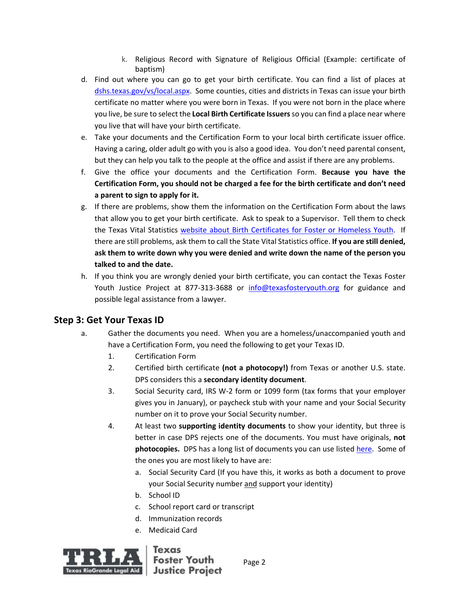- k. Religious Record with Signature of Religious Official (Example: certificate of baptism)
- d. Find out where you can go to get your birth certificate. You can find a list of places at [dshs.texas.gov/vs/local.aspx.](https://www.dshs.texas.gov/vs/local.aspx) Some counties, cities and districts in Texas can issue your birth certificate no matter where you were born in Texas. If you were not born in the place where you live, be sure to select the **Local Birth Certificate Issuers**so you can find a place near where you live that will have your birth certificate.
- e. Take your documents and the Certification Form to your local birth certificate issuer office. Having a caring, older adult go with you is also a good idea. You don't need parental consent, but they can help you talk to the people at the office and assist if there are any problems.
- f. Give the office your documents and the Certification Form. **Because you have the Certification Form, you should not be charged a fee for the birth certificate and don't need a parent to sign to apply for it.**
- g. If there are problems, show them the information on the Certification Form about the laws that allow you to get your birth certificate. Ask to speak to a Supervisor. Tell them to check the Texas Vital Statistics [website about Birth Certificates for Foster or Homeless Youth.](https://www.dshs.state.tx.us/vs/reqproc/Birth-Certificate-for-Foster-or-Homeless-Youth.aspx#youth) If there are still problems, ask them to call the State Vital Statistics office. **If you are still denied, ask them to write down why you were denied and write down the name of the person you talked to and the date.**
- h. If you think you are wrongly denied your birth certificate, you can contact the Texas Foster Youth Justice Project at 877-313-3688 or [info@texasfosteryouth.org](mailto:info@texasfosteryouth.org) for guidance and possible legal assistance from a lawyer.

## **Step 3: Get Your Texas ID**

- a. Gather the documents you need. When you are a homeless/unaccompanied youth and have a Certification Form, you need the following to get your Texas ID.
	- 1. Certification Form
	- 2. Certified birth certificate **(not a photocopy!)** from Texas or another U.S. state. DPS considers this a **secondary identity document**.
	- 3. Social Security card, IRS W-2 form or 1099 form (tax forms that your employer gives you in January), or paycheck stub with your name and your Social Security number on it to prove your Social Security number.
	- 4. At least two **supporting identity documents** to show your identity, but three is better in case DPS rejects one of the documents. You must have originals, **not**  photocopies. DPS has a long list of documents you can use listed [here.](https://www.dps.texas.gov/DriverLicense/identificationrequirements.htm) Some of the ones you are most likely to have are:
		- a. Social Security Card (If you have this, it works as both a document to prove your Social Security number and support your identity)
		- b. School ID
		- c. School report card or transcript
		- d. Immunization records
		- e. Medicaid Card



Page 2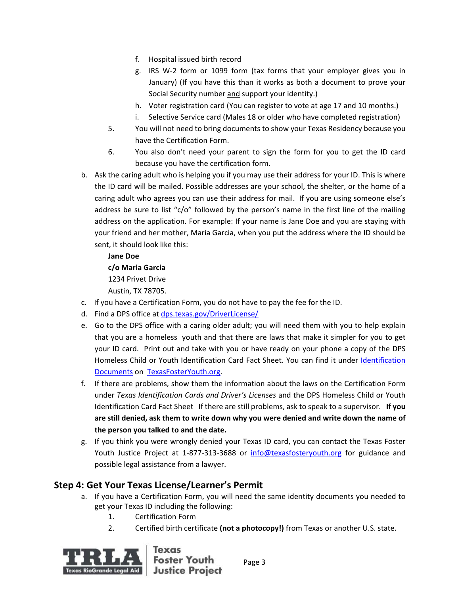- f. Hospital issued birth record
- g. IRS W-2 form or 1099 form (tax forms that your employer gives you in January) (If you have this than it works as both a document to prove your Social Security number and support your identity.)
- h. Voter registration card (You can register to vote at age 17 and 10 months.)
- i. Selective Service card (Males 18 or older who have completed registration)
- 5. You will not need to bring documents to show your Texas Residency because you have the Certification Form.
- 6. You also don't need your parent to sign the form for you to get the ID card because you have the certification form.
- b. Ask the caring adult who is helping you if you may use their address for your ID. This is where the ID card will be mailed. Possible addresses are your school, the shelter, or the home of a caring adult who agrees you can use their address for mail. If you are using someone else's address be sure to list "c/o" followed by the person's name in the first line of the mailing address on the application. For example: If your name is Jane Doe and you are staying with your friend and her mother, Maria Garcia, when you put the address where the ID should be sent, it should look like this:

#### **Jane Doe**

#### **c/o Maria Garcia**

1234 Privet Drive

Austin, TX 78705.

- c. If you have a Certification Form, you do not have to pay the fee for the ID.
- d. Find a DPS office at [dps.texas.gov/DriverLicense/](https://www.dps.texas.gov/DriverLicense/)
- e. Go to the DPS office with a caring older adult; you will need them with you to help explain that you are a homeless youth and that there are laws that make it simpler for you to get your ID card. Print out and take with you or have ready on your phone a copy of the DPS Homeless Child or Youth Identification Card Fact Sheet. You can find it under [Identification](http://texasfosteryouth.org/legal-resources/legal-resources-for-youth/legal-documents/)  [Documents](http://texasfosteryouth.org/legal-resources/legal-resources-for-youth/legal-documents/) on [TexasFosterYouth.org.](http://texasfosteryouth.org/)
- f. If there are problems, show them the information about the laws on the Certification Form under *Texas Identification Cards and Driver's Licenses* and the DPS Homeless Child or Youth Identification Card Fact Sheet If there are still problems, ask to speak to a supervisor. **If you are still denied, ask them to write down why you were denied and write down the name of the person you talked to and the date.**
- g. If you think you were wrongly denied your Texas ID card, you can contact the Texas Foster Youth Justice Project at 1-877-313-3688 or [info@texasfosteryouth.org](mailto:info@texasfosteryouth.org) for guidance and possible legal assistance from a lawyer.

## **Step 4: Get Your Texas License/Learner's Permit**

- a. If you have a Certification Form, you will need the same identity documents you needed to get your Texas ID including the following:
	- 1. Certification Form
	- 2. Certified birth certificate **(not a photocopy!)** from Texas or another U.S. state.



**Foster Youth** Page 3 **Justice Project**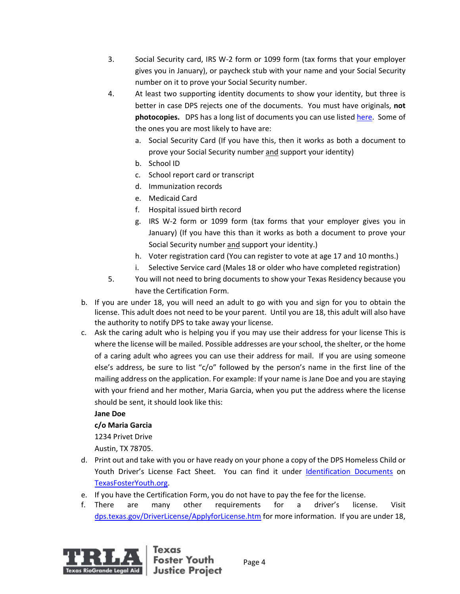- 3. Social Security card, IRS W-2 form or 1099 form (tax forms that your employer gives you in January), or paycheck stub with your name and your Social Security number on it to prove your Social Security number.
- 4. At least two supporting identity documents to show your identity, but three is better in case DPS rejects one of the documents. You must have originals, **not photocopies.** DPS has a long list of documents you can use listed [here.](https://www.dps.texas.gov/DriverLicense/identificationrequirements.htm) Some of the ones you are most likely to have are:
	- a. Social Security Card (If you have this, then it works as both a document to prove your Social Security number and support your identity)
	- b. School ID
	- c. School report card or transcript
	- d. Immunization records
	- e. Medicaid Card
	- f. Hospital issued birth record
	- g. IRS W-2 form or 1099 form (tax forms that your employer gives you in January) (If you have this than it works as both a document to prove your Social Security number and support your identity.)
	- h. Voter registration card (You can register to vote at age 17 and 10 months.)
	- i. Selective Service card (Males 18 or older who have completed registration)
- 5. You will not need to bring documents to show your Texas Residency because you have the Certification Form.
- b. If you are under 18, you will need an adult to go with you and sign for you to obtain the license. This adult does not need to be your parent. Until you are 18, this adult will also have the authority to notify DPS to take away your license.
- c. Ask the caring adult who is helping you if you may use their address for your license This is where the license will be mailed. Possible addresses are your school, the shelter, or the home of a caring adult who agrees you can use their address for mail. If you are using someone else's address, be sure to list "c/o" followed by the person's name in the first line of the mailing address on the application. For example: If your name is Jane Doe and you are staying with your friend and her mother, Maria Garcia, when you put the address where the license should be sent, it should look like this:

#### **Jane Doe**

#### **c/o Maria Garcia**

1234 Privet Drive

Austin, TX 78705.

- d. Print out and take with you or have ready on your phone a copy of the DPS Homeless Child or Youth Driver's License Fact Sheet. You can find it under [Identification Documents](http://texasfosteryouth.org/legal-resources/legal-resources-for-youth/legal-documents/) on [TexasFosterYouth.org.](http://texasfosteryouth.org/)
- e. If you have the Certification Form, you do not have to pay the fee for the license.
- f. There are many other requirements for a driver's license. Visit [dps.texas.gov/DriverLicense/ApplyforLicense.htm](https://www.dps.texas.gov/DriverLicense/ApplyforLicense.htm) for more information. If you are under 18,